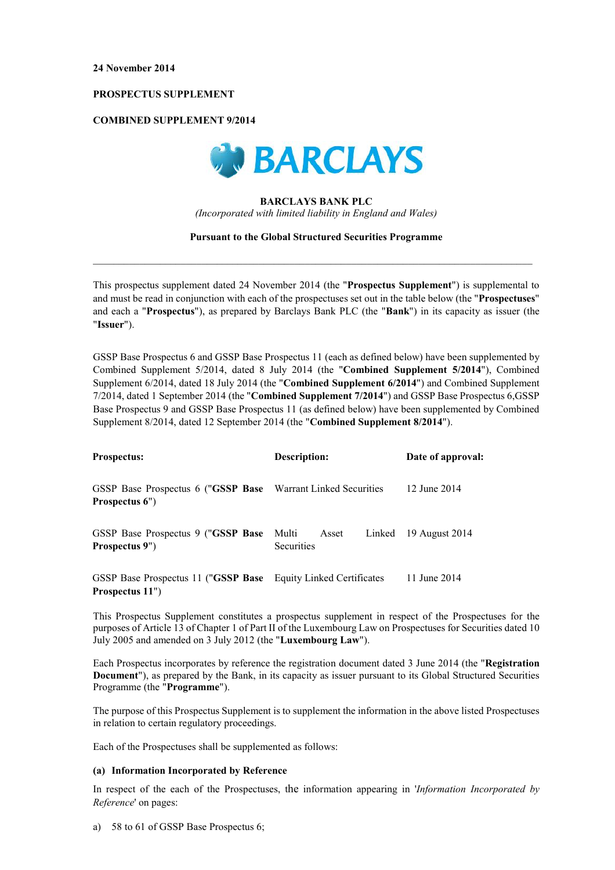## PROSPECTUS SUPPLEMENT

# **COMBINED SUPPLEMENT 9/2014**



# **BARCLAYS BANK PLC**

(Incorporated with limited liability in England and Wales)

## **Pursuant to the Global Structured Securities Programme**

This prospectus supplement dated 24 November 2014 (the "Prospectus Supplement") is supplemental to and must be read in conjunction with each of the prospectuses set out in the table below (the "Prospectuses" and each a "Prospectus"), as prepared by Barclays Bank PLC (the "Bank") in its capacity as issuer (the "Issuer").

GSSP Base Prospectus 6 and GSSP Base Prospectus 11 (each as defined below) have been supplemented by Combined Supplement 5/2014, dated 8 July 2014 (the "Combined Supplement 5/2014"), Combined Supplement 6/2014, dated 18 July 2014 (the "Combined Supplement 6/2014") and Combined Supplement 7/2014, dated 1 September 2014 (the "Combined Supplement 7/2014") and GSSP Base Prospectus 6, GSSP Base Prospectus 9 and GSSP Base Prospectus 11 (as defined below) have been supplemented by Combined Supplement 8/2014, dated 12 September 2014 (the "Combined Supplement 8/2014").

| <b>Prospectus:</b>                                                                | Description:                                  | Date of approval: |
|-----------------------------------------------------------------------------------|-----------------------------------------------|-------------------|
| GSSP Base Prospectus 6 ("GSSP Base Warrant Linked Securities<br>Prospectus 6")    |                                               | 12 June 2014      |
| GSSP Base Prospectus 9 ("GSSP Base<br>Prospectus 9")                              | Multi<br>Linked<br>Asset<br><b>Securities</b> | 19 August 2014    |
| GSSP Base Prospectus 11 ("GSSP Base Equity Linked Certificates<br>Prospectus 11") |                                               | 11 June 2014      |

This Prospectus Supplement constitutes a prospectus supplement in respect of the Prospectuses for the purposes of Article 13 of Chapter 1 of Part II of the Luxembourg Law on Prospectuses for Securities dated 10 July 2005 and amended on 3 July 2012 (the "Luxembourg Law").

Each Prospectus incorporates by reference the registration document dated 3 June 2014 (the "Registration" **Document**"), as prepared by the Bank, in its capacity as issuer pursuant to its Global Structured Securities Programme (the "Programme").

The purpose of this Prospectus Supplement is to supplement the information in the above listed Prospectuses in relation to certain regulatory proceedings.

Each of the Prospectuses shall be supplemented as follows:

# (a) Information Incorporated by Reference

In respect of the each of the Prospectuses, the information appearing in *Information Incorporated by* Reference' on pages:

a) 58 to 61 of GSSP Base Prospectus 6;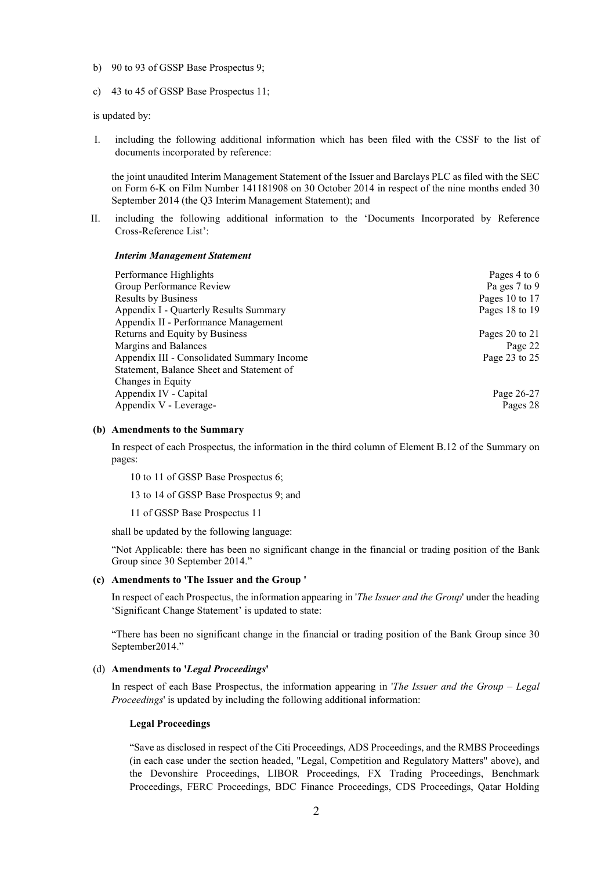- b) 90 to 93 of GSSP Base Prospectus 9;
- c) 43 to 45 of GSSP Base Prospectus 11;

is updated by:

 $\mathbf{I}$ including the following additional information which has been filed with the CSSF to the list of documents incorporated by reference:

the joint unaudited Interim Management Statement of the Issuer and Barclays PLC as filed with the SEC on Form 6-K on Film Number 141181908 on 30 October 2014 in respect of the nine months ended 30 September 2014 (the Q3 Interim Management Statement); and

II. including the following additional information to the 'Documents Incorporated by Reference Cross-Reference List':

## **Interim Management Statement**

| Performance Highlights                     | Pages 4 to 6   |
|--------------------------------------------|----------------|
| Group Performance Review                   | Pa ges 7 to 9  |
| <b>Results by Business</b>                 | Pages 10 to 17 |
| Appendix I - Quarterly Results Summary     | Pages 18 to 19 |
| Appendix II - Performance Management       |                |
| Returns and Equity by Business             | Pages 20 to 21 |
| Margins and Balances                       | Page 22        |
| Appendix III - Consolidated Summary Income | Page 23 to 25  |
| Statement, Balance Sheet and Statement of  |                |
| Changes in Equity                          |                |
| Appendix IV - Capital                      | Page 26-27     |
| Appendix V - Leverage-                     | Pages 28       |

### (b) Amendments to the Summary

In respect of each Prospectus, the information in the third column of Element B.12 of the Summary on pages:

10 to 11 of GSSP Base Prospectus 6;

13 to 14 of GSSP Base Prospectus 9; and

11 of GSSP Base Prospectus 11

shall be updated by the following language:

"Not Applicable: there has been no significant change in the financial or trading position of the Bank Group since 30 September 2014."

### (c) Amendments to 'The Issuer and the Group'

In respect of each Prospectus, the information appearing in *The Issuer and the Group*' under the heading 'Significant Change Statement' is updated to state:

"There has been no significant change in the financial or trading position of the Bank Group since 30 September2014."

## (d) Amendments to 'Legal Proceedings'

In respect of each Base Prospectus, the information appearing in *The Issuer and the Group – Legal Proceedings'* is updated by including the following additional information:

### **Legal Proceedings**

"Save as disclosed in respect of the Citi Proceedings, ADS Proceedings, and the RMBS Proceedings (in each case under the section headed, "Legal, Competition and Regulatory Matters" above), and the Devonshire Proceedings, LIBOR Proceedings, FX Trading Proceedings, Benchmark Proceedings, FERC Proceedings, BDC Finance Proceedings, CDS Proceedings, Qatar Holding